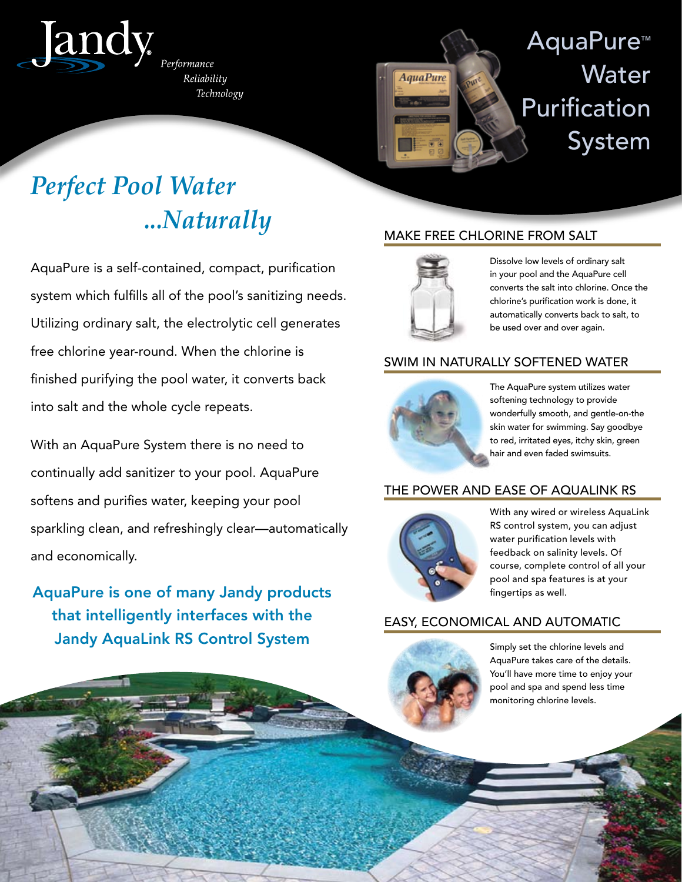

Performance Reliability Technology



# AquaPure™ **Water** Purification System

# *Perfect Pool Water ...Naturally*

AquaPure is a self-contained, compact, purification system which fulfills all of the pool's sanitizing needs. Utilizing ordinary salt, the electrolytic cell generates free chlorine year-round. When the chlorine is finished purifying the pool water, it converts back into salt and the whole cycle repeats.

With an AquaPure System there is no need to continually add sanitizer to your pool. AquaPure softens and purifies water, keeping your pool sparkling clean, and refreshingly clear—automatically and economically.

AquaPure is one of many Jandy products that intelligently interfaces with the Jandy AquaLink RS Control System Simply set the chlorine levels and

# MAKE FREE CHLORINE FROM SALT



Dissolve low levels of ordinary salt in your pool and the AquaPure cell converts the salt into chlorine. Once the chlorine's purification work is done, it automatically converts back to salt, to be used over and over again.

## SWIM IN NATURALLY SOFTENED WATER



The AquaPure system utilizes water softening technology to provide wonderfully smooth, and gentle-on-the skin water for swimming. Say goodbye to red, irritated eyes, itchy skin, green hair and even faded swimsuits.

# THE POWER AND EASE OF AQUALINK RS



With any wired or wireless AquaLink RS control system, you can adjust water purification levels with feedback on salinity levels. Of course, complete control of all your pool and spa features is at your fingertips as well.

## EASY, ECONOMICAL AND AUTOMATIC



AquaPure takes care of the details. You'll have more time to enjoy your pool and spa and spend less time monitoring chlorine levels.